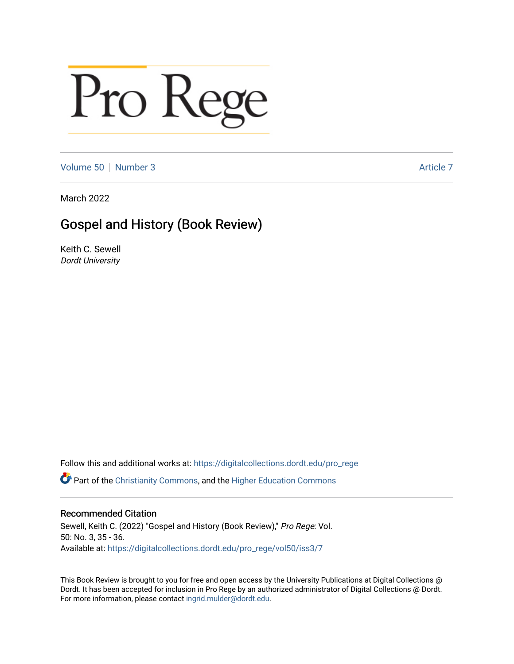## Pro Rege

[Volume 50](https://digitalcollections.dordt.edu/pro_rege/vol50) [Number 3](https://digitalcollections.dordt.edu/pro_rege/vol50/iss3) Article 7

March 2022

## Gospel and History (Book Review)

Keith C. Sewell Dordt University

Follow this and additional works at: [https://digitalcollections.dordt.edu/pro\\_rege](https://digitalcollections.dordt.edu/pro_rege?utm_source=digitalcollections.dordt.edu%2Fpro_rege%2Fvol50%2Fiss3%2F7&utm_medium=PDF&utm_campaign=PDFCoverPages) 

Part of the [Christianity Commons,](http://network.bepress.com/hgg/discipline/1181?utm_source=digitalcollections.dordt.edu%2Fpro_rege%2Fvol50%2Fiss3%2F7&utm_medium=PDF&utm_campaign=PDFCoverPages) and the [Higher Education Commons](http://network.bepress.com/hgg/discipline/1245?utm_source=digitalcollections.dordt.edu%2Fpro_rege%2Fvol50%2Fiss3%2F7&utm_medium=PDF&utm_campaign=PDFCoverPages) 

## Recommended Citation

Sewell, Keith C. (2022) "Gospel and History (Book Review)," Pro Rege: Vol. 50: No. 3, 35 - 36. Available at: [https://digitalcollections.dordt.edu/pro\\_rege/vol50/iss3/7](https://digitalcollections.dordt.edu/pro_rege/vol50/iss3/7?utm_source=digitalcollections.dordt.edu%2Fpro_rege%2Fvol50%2Fiss3%2F7&utm_medium=PDF&utm_campaign=PDFCoverPages) 

This Book Review is brought to you for free and open access by the University Publications at Digital Collections @ Dordt. It has been accepted for inclusion in Pro Rege by an authorized administrator of Digital Collections @ Dordt. For more information, please contact [ingrid.mulder@dordt.edu](mailto:ingrid.mulder@dordt.edu).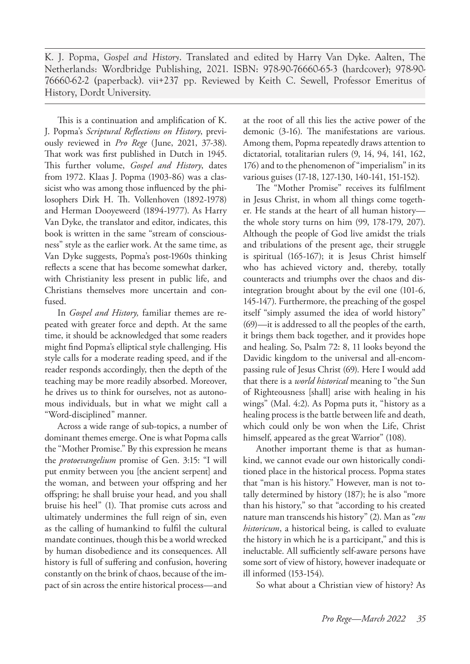K. J. Popma, *Gospel and History*. Translated and edited by Harry Van Dyke. Aalten, The Netherlands: Wordbridge Publishing, 2021. ISBN: 978-90-76660-65-3 (hardcover); 978-90- 76660-62-2 (paperback). vii+237 pp. Reviewed by Keith C. Sewell, Professor Emeritus of History, Dordt University.

This is a continuation and amplification of K. J. Popma's *Scriptural Reflections on History*, previously reviewed in *Pro Rege* (June, 2021, 37-38). That work was first published in Dutch in 1945. This further volume, *Gospel and History*, dates from 1972. Klaas J. Popma (1903-86) was a classicist who was among those influenced by the philosophers Dirk H. Th. Vollenhoven (1892-1978) and Herman Dooyeweerd (1894-1977). As Harry Van Dyke, the translator and editor, indicates, this book is written in the same "stream of consciousness" style as the earlier work. At the same time, as Van Dyke suggests, Popma's post-1960s thinking reflects a scene that has become somewhat darker, with Christianity less present in public life, and Christians themselves more uncertain and confused.

In *Gospel and History,* familiar themes are repeated with greater force and depth. At the same time, it should be acknowledged that some readers might find Popma's elliptical style challenging. His style calls for a moderate reading speed, and if the reader responds accordingly, then the depth of the teaching may be more readily absorbed. Moreover, he drives us to think for ourselves, not as autonomous individuals, but in what we might call a "Word-disciplined" manner.

Across a wide range of sub-topics, a number of dominant themes emerge. One is what Popma calls the "Mother Promise." By this expression he means the *protoevangelium* promise of Gen. 3:15: "I will put enmity between you [the ancient serpent] and the woman, and between your offspring and her offspring; he shall bruise your head, and you shall bruise his heel" (1). That promise cuts across and ultimately undermines the full reign of sin, even as the calling of humankind to fulfil the cultural mandate continues, though this be a world wrecked by human disobedience and its consequences. All history is full of suffering and confusion, hovering constantly on the brink of chaos, because of the impact of sin across the entire historical process—and

at the root of all this lies the active power of the demonic (3-16). The manifestations are various. Among them, Popma repeatedly draws attention to dictatorial, totalitarian rulers (9, 14, 94, 141, 162, 176) and to the phenomenon of "imperialism" in its various guises (17-18, 127-130, 140-141, 151-152).

The "Mother Promise" receives its fulfilment in Jesus Christ, in whom all things come together. He stands at the heart of all human history the whole story turns on him (99, 178-179, 207). Although the people of God live amidst the trials and tribulations of the present age, their struggle is spiritual (165-167); it is Jesus Christ himself who has achieved victory and, thereby, totally counteracts and triumphs over the chaos and disintegration brought about by the evil one (101-6, 145-147). Furthermore, the preaching of the gospel itself "simply assumed the idea of world history" (69)—it is addressed to all the peoples of the earth, it brings them back together, and it provides hope and healing. So, Psalm 72: 8, 11 looks beyond the Davidic kingdom to the universal and all-encompassing rule of Jesus Christ (69). Here I would add that there is a *world historical* meaning to "the Sun of Righteousness [shall] arise with healing in his wings" (Mal. 4:2). As Popma puts it, "history as a healing process is the battle between life and death, which could only be won when the Life, Christ himself, appeared as the great Warrior" (108).

Another important theme is that as humankind, we cannot evade our own historically conditioned place in the historical process. Popma states that "man is his history." However, man is not totally determined by history (187); he is also "more than his history," so that "according to his created nature man transcends his history" (2). Man as "*ens historicum*, a historical being, is called to evaluate the history in which he is a participant," and this is ineluctable. All sufficiently self-aware persons have some sort of view of history, however inadequate or ill informed (153-154).

So what about a Christian view of history? As